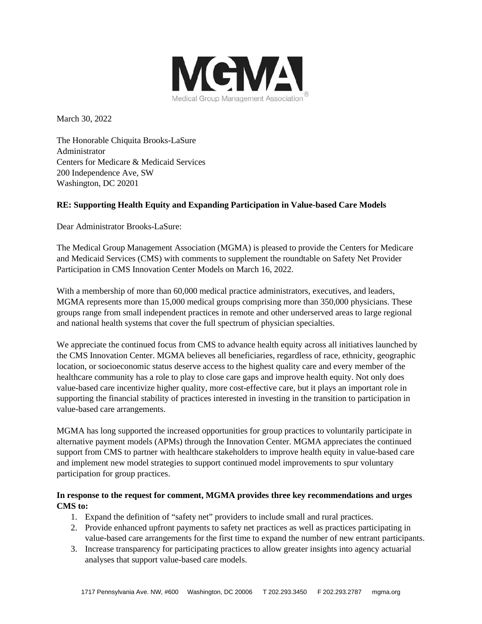

March 30, 2022

The Honorable Chiquita Brooks-LaSure Administrator Centers for Medicare & Medicaid Services 200 Independence Ave, SW Washington, DC 20201

# **RE: Supporting Health Equity and Expanding Participation in Value-based Care Models**

Dear Administrator Brooks-LaSure:

The Medical Group Management Association (MGMA) is pleased to provide the Centers for Medicare and Medicaid Services (CMS) with comments to supplement the roundtable on Safety Net Provider Participation in CMS Innovation Center Models on March 16, 2022.

With a membership of more than 60,000 medical practice administrators, executives, and leaders, MGMA represents more than 15,000 medical groups comprising more than 350,000 physicians. These groups range from small independent practices in remote and other underserved areas to large regional and national health systems that cover the full spectrum of physician specialties.

We appreciate the continued focus from CMS to advance health equity across all initiatives launched by the CMS Innovation Center. MGMA believes all beneficiaries, regardless of race, ethnicity, geographic location, or socioeconomic status deserve access to the highest quality care and every member of the healthcare community has a role to play to close care gaps and improve health equity. Not only does value-based care incentivize higher quality, more cost-effective care, but it plays an important role in supporting the financial stability of practices interested in investing in the transition to participation in value-based care arrangements.

MGMA has long supported the increased opportunities for group practices to voluntarily participate in alternative payment models (APMs) through the Innovation Center. MGMA appreciates the continued support from CMS to partner with healthcare stakeholders to improve health equity in value-based care and implement new model strategies to support continued model improvements to spur voluntary participation for group practices.

## **In response to the request for comment, MGMA provides three key recommendations and urges CMS to:**

- 1. Expand the definition of "safety net" providers to include small and rural practices.
- 2. Provide enhanced upfront payments to safety net practices as well as practices participating in value-based care arrangements for the first time to expand the number of new entrant participants.
- 3. Increase transparency for participating practices to allow greater insights into agency actuarial analyses that support value-based care models.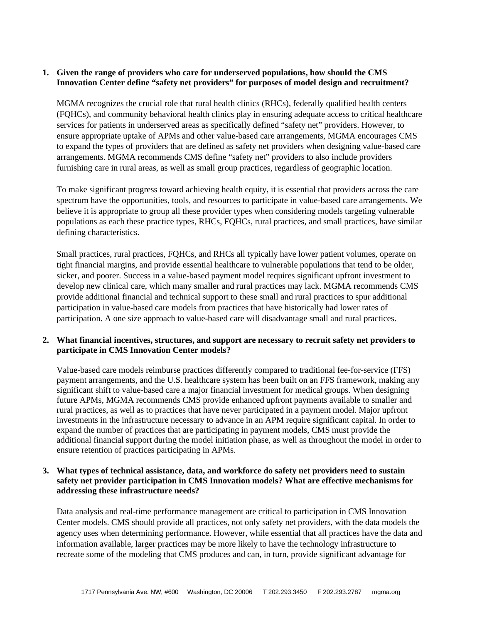## **1. Given the range of providers who care for underserved populations, how should the CMS Innovation Center define "safety net providers" for purposes of model design and recruitment?**

MGMA recognizes the crucial role that rural health clinics (RHCs), federally qualified health centers (FQHCs), and community behavioral health clinics play in ensuring adequate access to critical healthcare services for patients in underserved areas as specifically defined "safety net" providers. However, to ensure appropriate uptake of APMs and other value-based care arrangements, MGMA encourages CMS to expand the types of providers that are defined as safety net providers when designing value-based care arrangements. MGMA recommends CMS define "safety net" providers to also include providers furnishing care in rural areas, as well as small group practices, regardless of geographic location.

To make significant progress toward achieving health equity, it is essential that providers across the care spectrum have the opportunities, tools, and resources to participate in value-based care arrangements. We believe it is appropriate to group all these provider types when considering models targeting vulnerable populations as each these practice types, RHCs, FQHCs, rural practices, and small practices, have similar defining characteristics.

Small practices, rural practices, FQHCs, and RHCs all typically have lower patient volumes, operate on tight financial margins, and provide essential healthcare to vulnerable populations that tend to be older, sicker, and poorer. Success in a value-based payment model requires significant upfront investment to develop new clinical care, which many smaller and rural practices may lack. MGMA recommends CMS provide additional financial and technical support to these small and rural practices to spur additional participation in value-based care models from practices that have historically had lower rates of participation. A one size approach to value-based care will disadvantage small and rural practices.

### **2. What financial incentives, structures, and support are necessary to recruit safety net providers to participate in CMS Innovation Center models?**

Value-based care models reimburse practices differently compared to traditional fee-for-service (FFS) payment arrangements, and the U.S. healthcare system has been built on an FFS framework, making any significant shift to value-based care a major financial investment for medical groups. When designing future APMs, MGMA recommends CMS provide enhanced upfront payments available to smaller and rural practices, as well as to practices that have never participated in a payment model. Major upfront investments in the infrastructure necessary to advance in an APM require significant capital. In order to expand the number of practices that are participating in payment models, CMS must provide the additional financial support during the model initiation phase, as well as throughout the model in order to ensure retention of practices participating in APMs.

### **3. What types of technical assistance, data, and workforce do safety net providers need to sustain safety net provider participation in CMS Innovation models? What are effective mechanisms for addressing these infrastructure needs?**

Data analysis and real-time performance management are critical to participation in CMS Innovation Center models. CMS should provide all practices, not only safety net providers, with the data models the agency uses when determining performance. However, while essential that all practices have the data and information available, larger practices may be more likely to have the technology infrastructure to recreate some of the modeling that CMS produces and can, in turn, provide significant advantage for